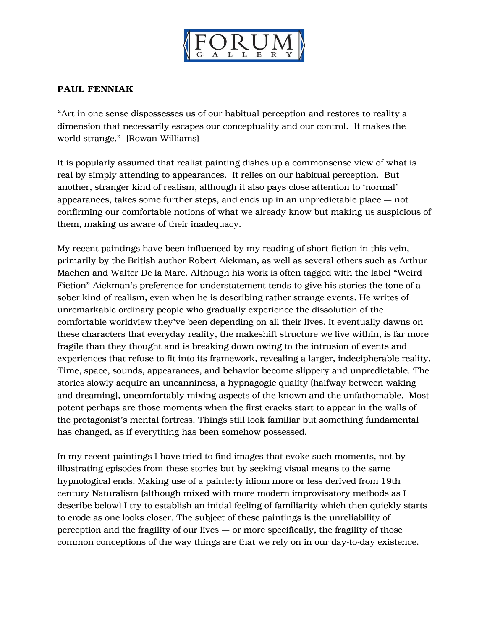

## PAUL FENNIAK

"Art in one sense dispossesses us of our habitual perception and restores to reality a dimension that necessarily escapes our conceptuality and our control. It makes the world strange." (Rowan Williams)

It is popularly assumed that realist painting dishes up a commonsense view of what is real by simply attending to appearances. It relies on our habitual perception. But another, stranger kind of realism, although it also pays close attention to 'normal' appearances, takes some further steps, and ends up in an unpredictable place — not confirming our comfortable notions of what we already know but making us suspicious of them, making us aware of their inadequacy.

My recent paintings have been influenced by my reading of short fiction in this vein, primarily by the British author Robert Aickman, as well as several others such as Arthur Machen and Walter De la Mare. Although his work is often tagged with the label "Weird Fiction" Aickman's preference for understatement tends to give his stories the tone of a sober kind of realism, even when he is describing rather strange events. He writes of unremarkable ordinary people who gradually experience the dissolution of the comfortable worldview they've been depending on all their lives. It eventually dawns on these characters that everyday reality, the makeshift structure we live within, is far more fragile than they thought and is breaking down owing to the intrusion of events and experiences that refuse to fit into its framework, revealing a larger, indecipherable reality. Time, space, sounds, appearances, and behavior become slippery and unpredictable. The stories slowly acquire an uncanniness, a hypnagogic quality (halfway between waking and dreaming), uncomfortably mixing aspects of the known and the unfathomable. Most potent perhaps are those moments when the first cracks start to appear in the walls of the protagonist's mental fortress. Things still look familiar but something fundamental has changed, as if everything has been somehow possessed.

In my recent paintings I have tried to find images that evoke such moments, not by illustrating episodes from these stories but by seeking visual means to the same hypnological ends. Making use of a painterly idiom more or less derived from 19th century Naturalism (although mixed with more modern improvisatory methods as I describe below) I try to establish an initial feeling of familiarity which then quickly starts to erode as one looks closer. The subject of these paintings is the unreliability of perception and the fragility of our lives — or more specifically, the fragility of those common conceptions of the way things are that we rely on in our day-to-day existence.